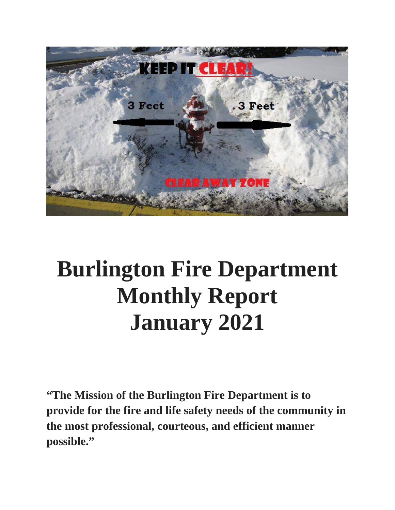

# **Burlington Fire Department Monthly Report January 2021**

**"The Mission of the Burlington Fire Department is to provide for the fire and life safety needs of the community in the most professional, courteous, and efficient manner possible."**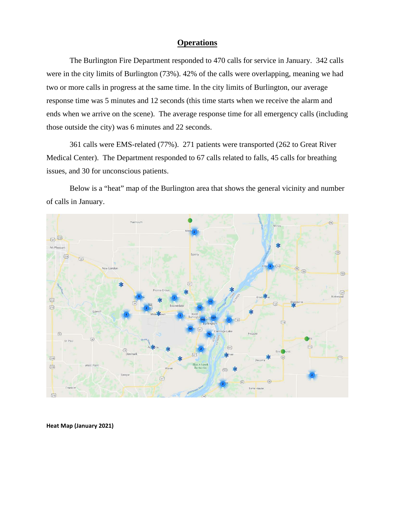#### **Operations**

The Burlington Fire Department responded to 470 calls for service in January. 342 calls were in the city limits of Burlington (73%). 42% of the calls were overlapping, meaning we had two or more calls in progress at the same time. In the city limits of Burlington, our average response time was 5 minutes and 12 seconds (this time starts when we receive the alarm and ends when we arrive on the scene). The average response time for all emergency calls (including those outside the city) was 6 minutes and 22 seconds.

361 calls were EMS-related (77%). 271 patients were transported (262 to Great River Medical Center). The Department responded to 67 calls related to falls, 45 calls for breathing issues, and 30 for unconscious patients.

Below is a "heat" map of the Burlington area that shows the general vicinity and number of calls in January.



**Heat Map (January 2021)**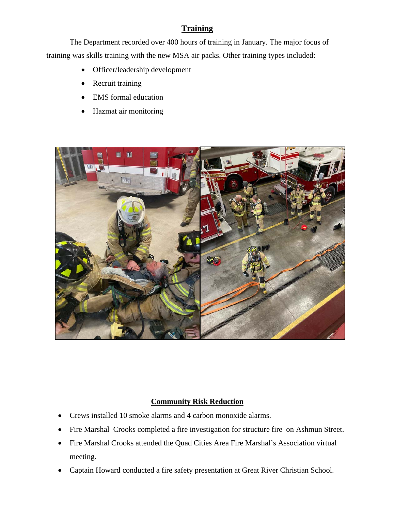### **Training**

The Department recorded over 400 hours of training in January. The major focus of training was skills training with the new MSA air packs. Other training types included:

- Officer/leadership development
- Recruit training
- EMS formal education
- Hazmat air monitoring



#### **Community Risk Reduction**

- Crews installed 10 smoke alarms and 4 carbon monoxide alarms.
- Fire Marshal Crooks completed a fire investigation for structure fire on Ashmun Street.
- Fire Marshal Crooks attended the Quad Cities Area Fire Marshal's Association virtual meeting.
- Captain Howard conducted a fire safety presentation at Great River Christian School.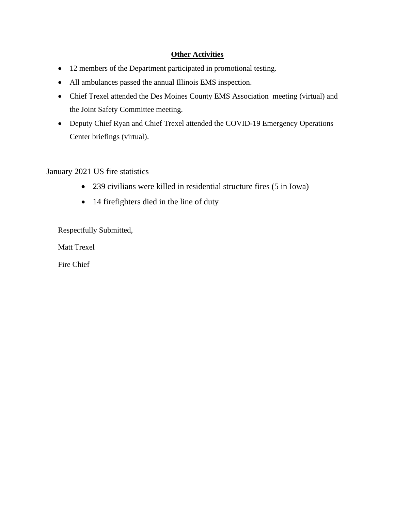#### **Other Activities**

- 12 members of the Department participated in promotional testing.
- All ambulances passed the annual Illinois EMS inspection.
- Chief Trexel attended the Des Moines County EMS Association meeting (virtual) and the Joint Safety Committee meeting.
- Deputy Chief Ryan and Chief Trexel attended the COVID-19 Emergency Operations Center briefings (virtual).

January 2021 US fire statistics

- 239 civilians were killed in residential structure fires (5 in Iowa)
- 14 firefighters died in the line of duty

Respectfully Submitted,

Matt Trexel

Fire Chief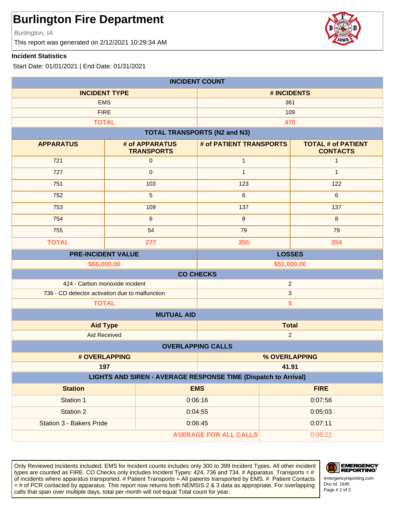Burlington, IA

This report was generated on 2/12/2021 10:29:34 AM

#### **Incident Statistics**

Start Date: 01/01/2021 | End Date: 01/31/2021

| <b>INCIDENT COUNT</b>                                                 |                                     |                                     |               |                                              |
|-----------------------------------------------------------------------|-------------------------------------|-------------------------------------|---------------|----------------------------------------------|
| <b>INCIDENT TYPE</b>                                                  |                                     | # INCIDENTS                         |               |                                              |
| <b>EMS</b>                                                            |                                     | 361                                 |               |                                              |
| <b>FIRE</b>                                                           |                                     | 109                                 |               |                                              |
| <b>TOTAL</b>                                                          |                                     |                                     | 470           |                                              |
|                                                                       |                                     | <b>TOTAL TRANSPORTS (N2 and N3)</b> |               |                                              |
| <b>APPARATUS</b>                                                      | # of APPARATUS<br><b>TRANSPORTS</b> | # of PATIENT TRANSPORTS             |               | <b>TOTAL # of PATIENT</b><br><b>CONTACTS</b> |
| 721                                                                   | $\pmb{0}$                           | $\mathbf{1}$                        |               | $\mathbf{1}$                                 |
| 727                                                                   | $\pmb{0}$                           | $\mathbf{1}$                        |               | $\mathbf{1}$                                 |
| 751                                                                   | 103                                 | 123                                 |               | 122                                          |
| 752                                                                   | $\overline{5}$                      | $\,6\,$                             |               | 6                                            |
| 753                                                                   | 109                                 | 137                                 |               | 137                                          |
| 754                                                                   | $\,6\,$                             | $\,8\,$                             |               | 8                                            |
| 755                                                                   | 54                                  | 79                                  |               | 79                                           |
| <b>TOTAL</b>                                                          | 277                                 | 355                                 |               | 354                                          |
| <b>PRE-INCIDENT VALUE</b>                                             |                                     |                                     | <b>LOSSES</b> |                                              |
|                                                                       | \$66,000.00                         |                                     | \$51,000.00   |                                              |
|                                                                       |                                     | <b>CO CHECKS</b>                    |               |                                              |
| 424 - Carbon monoxide incident<br>$\overline{2}$                      |                                     |                                     |               |                                              |
| 736 - CO detector activation due to malfunction                       |                                     | $\ensuremath{\mathsf{3}}$           |               |                                              |
| 5<br><b>TOTAL</b><br><b>MUTUAL AID</b>                                |                                     |                                     |               |                                              |
|                                                                       |                                     |                                     | <b>Total</b>  |                                              |
| <b>Aid Type</b><br><b>Aid Received</b>                                |                                     | $\overline{2}$                      |               |                                              |
| <b>OVERLAPPING CALLS</b>                                              |                                     |                                     |               |                                              |
|                                                                       | # OVERLAPPING<br>% OVERLAPPING      |                                     |               |                                              |
| 197                                                                   |                                     |                                     | 41.91         |                                              |
| <b>LIGHTS AND SIREN - AVERAGE RESPONSE TIME (Dispatch to Arrival)</b> |                                     |                                     |               |                                              |
| <b>Station</b>                                                        |                                     | <b>EMS</b>                          | <b>FIRE</b>   |                                              |
| Station 1                                                             |                                     | 0:06:16                             | 0:07:56       |                                              |
| Station 2                                                             |                                     | 0:04:55                             | 0:05:03       |                                              |
| Station 3 - Bakers Pride                                              |                                     | 0:06:45                             | 0:07:11       |                                              |
| <b>AVERAGE FOR ALL CALLS</b>                                          |                                     |                                     | 0:06:22       |                                              |

Only Reviewed Incidents included. EMS for Incident counts includes only 300 to 399 Incident Types. All other incident types are counted as FIRE. CO Checks only includes Incident Types: 424, 736 and 734. # Apparatus Transports = # of incidents where apparatus transported. # Patient Transports = All patients transported by EMS. # Patient Contacts = # of PCR contacted by apparatus. This report now returns both NEMSIS 2 & 3 data as appropriate. For overlapping calls that span over multiple days, total per month will not equal Total count for year.



Doc Id: 1645 emergencyreporting.com

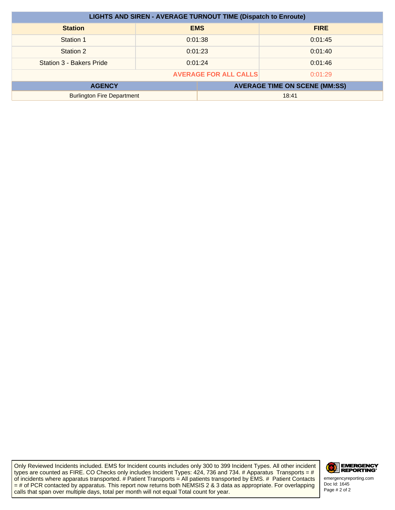| <b>LIGHTS AND SIREN - AVERAGE TURNOUT TIME (Dispatch to Enroute)</b> |         |                                      |             |
|----------------------------------------------------------------------|---------|--------------------------------------|-------------|
| <b>Station</b>                                                       |         | <b>EMS</b>                           | <b>FIRE</b> |
| Station 1                                                            | 0:01:38 |                                      | 0:01:45     |
| Station 2                                                            | 0:01:23 |                                      | 0:01:40     |
| Station 3 - Bakers Pride                                             | 0:01:24 |                                      | 0:01:46     |
| <b>AVERAGE FOR ALL CALLS</b><br>0:01:29                              |         |                                      |             |
| <b>AGENCY</b>                                                        |         | <b>AVERAGE TIME ON SCENE (MM:SS)</b> |             |
| <b>Burlington Fire Department</b>                                    |         | 18:41                                |             |

Only Reviewed Incidents included. EMS for Incident counts includes only 300 to 399 Incident Types. All other incident types are counted as FIRE. CO Checks only includes Incident Types: 424, 736 and 734. # Apparatus Transports = # of incidents where apparatus transported. # Patient Transports = All patients transported by EMS. # Patient Contacts = # of PCR contacted by apparatus. This report now returns both NEMSIS 2 & 3 data as appropriate. For overlapping calls that span over multiple days, total per month will not equal Total count for year.



Doc Id: 1645<br>Page # 2 of 2 emergencyreporting.com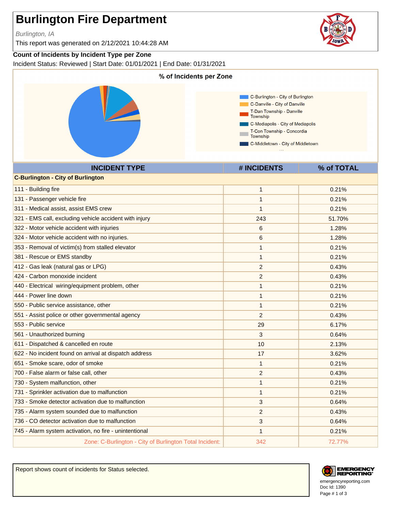Burlington, IA

This report was generated on 2/12/2021 10:44:28 AM

#### **Count of Incidents by Incident Type per Zone**

Incident Status: Reviewed | Start Date: 01/01/2021 | End Date: 01/31/2021



Report shows count of incidents for Status selected.





Doc Id: 1390 emergencyreporting.com Page # 1 of 3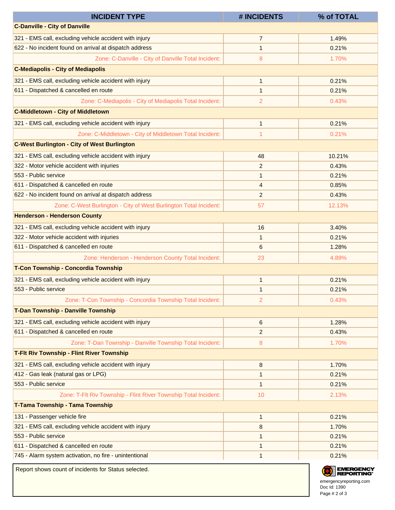| <b>INCIDENT TYPE</b>                                              | # INCIDENTS    | % of TOTAL              |
|-------------------------------------------------------------------|----------------|-------------------------|
| <b>C-Danville - City of Danville</b>                              |                |                         |
| 321 - EMS call, excluding vehicle accident with injury            | $\overline{7}$ | 1.49%                   |
| 622 - No incident found on arrival at dispatch address            | $\mathbf{1}$   | 0.21%                   |
| Zone: C-Danville - City of Danville Total Incident:               | 8              | 1.70%                   |
| <b>C-Mediapolis - City of Mediapolis</b>                          |                |                         |
| 321 - EMS call, excluding vehicle accident with injury            | 1              | 0.21%                   |
| 611 - Dispatched & cancelled en route                             | 1              | 0.21%                   |
| Zone: C-Mediapolis - City of Mediapolis Total Incident:           | 2              | 0.43%                   |
| <b>C-Middletown - City of Middletown</b>                          |                |                         |
| 321 - EMS call, excluding vehicle accident with injury            | 1              | 0.21%                   |
| Zone: C-Middletown - City of Middletown Total Incident:           | 1              | 0.21%                   |
| <b>C-West Burlington - City of West Burlington</b>                |                |                         |
| 321 - EMS call, excluding vehicle accident with injury            | 48             | 10.21%                  |
| 322 - Motor vehicle accident with injuries                        | $\overline{c}$ | 0.43%                   |
| 553 - Public service                                              | 1              | 0.21%                   |
| 611 - Dispatched & cancelled en route                             | 4              | 0.85%                   |
| 622 - No incident found on arrival at dispatch address            | $\overline{2}$ | 0.43%                   |
| Zone: C-West Burlington - City of West Burlington Total Incident: | 57             | 12.13%                  |
| <b>Henderson - Henderson County</b>                               |                |                         |
| 321 - EMS call, excluding vehicle accident with injury            | 16             | 3.40%                   |
| 322 - Motor vehicle accident with injuries                        | 1              | 0.21%                   |
| 611 - Dispatched & cancelled en route                             | 6              | 1.28%                   |
| Zone: Henderson - Henderson County Total Incident:                | 23             | 4.89%                   |
| T-Con Township - Concordia Township                               |                |                         |
| 321 - EMS call, excluding vehicle accident with injury            | 1              | 0.21%                   |
| 553 - Public service                                              | 1              | 0.21%                   |
| Zone: T-Con Township - Concordia Township Total Incident:         | $\overline{2}$ | 0.43%                   |
| <b>T-Dan Township - Danville Township</b>                         |                |                         |
| 321 - EMS call, excluding vehicle accident with injury            | 6              | 1.28%                   |
| 611 - Dispatched & cancelled en route                             | $\overline{2}$ | 0.43%                   |
| Zone: T-Dan Township - Danville Township Total Incident:          | 8              | 1.70%                   |
| <b>T-Fit Riv Township - Flint River Township</b>                  |                |                         |
| 321 - EMS call, excluding vehicle accident with injury            | 8              | 1.70%                   |
| 412 - Gas leak (natural gas or LPG)                               | 1              | 0.21%                   |
| 553 - Public service                                              | $\mathbf{1}$   | 0.21%                   |
| Zone: T-Flt Riv Township - Flint River Township Total Incident:   | 10             | 2.13%                   |
| T-Tama Township - Tama Township                                   |                |                         |
| 131 - Passenger vehicle fire                                      | 1              | 0.21%                   |
| 321 - EMS call, excluding vehicle accident with injury            | 8              | 1.70%                   |
| 553 - Public service                                              | 1              | 0.21%                   |
| 611 - Dispatched & cancelled en route                             | 1              | 0.21%                   |
| 745 - Alarm system activation, no fire - unintentional            | 1              | 0.21%                   |
| Report shows count of incidents for Status selected.              |                | <b>EMERGE</b><br>REPORT |

Doc Id: 1390 emergencyreporting.com Page # 2 of 3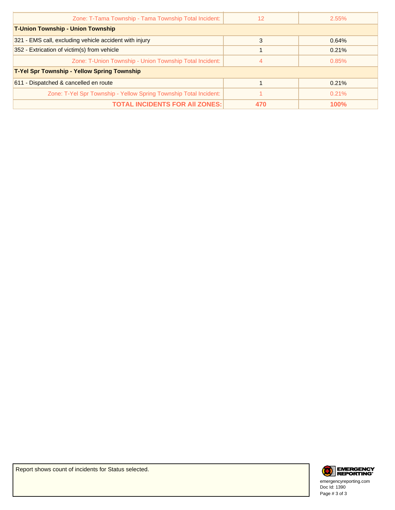| 12                                                 | 2.55%       |  |  |
|----------------------------------------------------|-------------|--|--|
| <b>T-Union Township - Union Township</b>           |             |  |  |
| 3                                                  | 0.64%       |  |  |
|                                                    | 0.21%       |  |  |
| 4                                                  | 0.85%       |  |  |
| <b>T-Yel Spr Township - Yellow Spring Township</b> |             |  |  |
|                                                    | 0.21%       |  |  |
|                                                    | 0.21%       |  |  |
| <b>TOTAL INCIDENTS FOR AII ZONES:</b><br>470       | <b>100%</b> |  |  |
|                                                    |             |  |  |



Doc Id: 1390 emergencyreporting.com Page # 3 of 3

Report shows count of incidents for Status selected.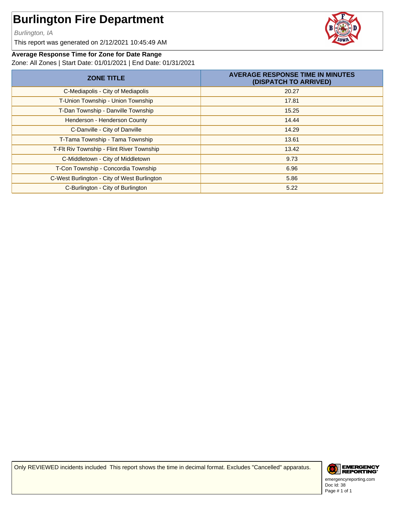Burlington, IA

This report was generated on 2/12/2021 10:45:49 AM



#### **Average Response Time for Zone for Date Range**

Zone: All Zones | Start Date: 01/01/2021 | End Date: 01/31/2021

| <b>ZONE TITLE</b>                           | <b>AVERAGE RESPONSE TIME IN MINUTES</b><br>(DISPATCH TO ARRIVED) |
|---------------------------------------------|------------------------------------------------------------------|
| C-Mediapolis - City of Mediapolis           | 20.27                                                            |
| T-Union Township - Union Township           | 17.81                                                            |
| T-Dan Township - Danville Township          | 15.25                                                            |
| Henderson - Henderson County                | 14.44                                                            |
| C-Danville - City of Danville               | 14.29                                                            |
| T-Tama Township - Tama Township             | 13.61                                                            |
| T-Flt Riv Township - Flint River Township   | 13.42                                                            |
| C-Middletown - City of Middletown           | 9.73                                                             |
| T-Con Township - Concordia Township         | 6.96                                                             |
| C-West Burlington - City of West Burlington | 5.86                                                             |
| C-Burlington - City of Burlington           | 5.22                                                             |

Only REVIEWED incidents included This report shows the time in decimal format. Excludes "Cancelled" apparatus.



Doc Id: 38 emergencyreporting.com Page # 1 of 1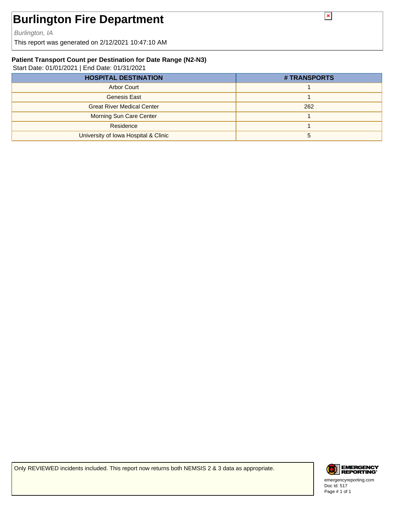Burlington, IA

This report was generated on 2/12/2021 10:47:10 AM

#### **Patient Transport Count per Destination for Date Range (N2-N3)**

Start Date: 01/01/2021 | End Date: 01/31/2021

| <b>HOSPITAL DESTINATION</b>          | # TRANSPORTS |
|--------------------------------------|--------------|
| <b>Arbor Court</b>                   |              |
| Genesis East                         |              |
| <b>Great River Medical Center</b>    | 262          |
| <b>Morning Sun Care Center</b>       |              |
| Residence                            |              |
| University of Iowa Hospital & Clinic |              |

Only REVIEWED incidents included. This report now returns both NEMSIS 2 & 3 data as appropriate.



Doc Id: 517 emergencyreporting.com Page # 1 of 1

 $\pmb{\times}$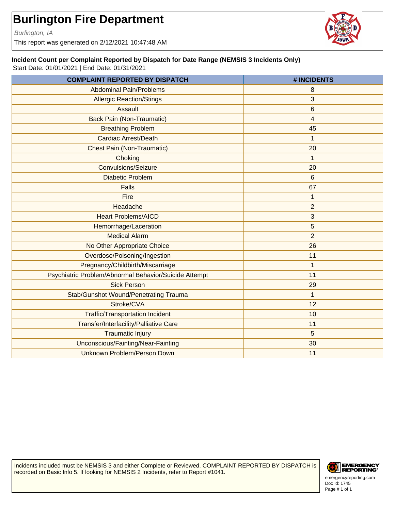Burlington, IA

This report was generated on 2/12/2021 10:47:48 AM

#### **Incident Count per Complaint Reported by Dispatch for Date Range (NEMSIS 3 Incidents Only)**

Start Date: 01/01/2021 | End Date: 01/31/2021

| <b>COMPLAINT REPORTED BY DISPATCH</b>                 | # INCIDENTS    |
|-------------------------------------------------------|----------------|
| <b>Abdominal Pain/Problems</b>                        | 8              |
| <b>Allergic Reaction/Stings</b>                       | 3              |
| Assault                                               | 6              |
| <b>Back Pain (Non-Traumatic)</b>                      | 4              |
| <b>Breathing Problem</b>                              | 45             |
| Cardiac Arrest/Death                                  | 1              |
| <b>Chest Pain (Non-Traumatic)</b>                     | 20             |
| Choking                                               | 1              |
| <b>Convulsions/Seizure</b>                            | 20             |
| <b>Diabetic Problem</b>                               | 6              |
| <b>Falls</b>                                          | 67             |
| Fire                                                  | 1              |
| Headache                                              | $\overline{2}$ |
| <b>Heart Problems/AICD</b>                            | 3              |
| Hemorrhage/Laceration                                 | 5              |
| <b>Medical Alarm</b>                                  | $\overline{2}$ |
| No Other Appropriate Choice                           | 26             |
| Overdose/Poisoning/Ingestion                          | 11             |
| Pregnancy/Childbirth/Miscarriage                      | 1              |
| Psychiatric Problem/Abnormal Behavior/Suicide Attempt | 11             |
| <b>Sick Person</b>                                    | 29             |
| Stab/Gunshot Wound/Penetrating Trauma                 | $\mathbf 1$    |
| Stroke/CVA                                            | 12             |
| <b>Traffic/Transportation Incident</b>                | 10             |
| Transfer/Interfacility/Palliative Care                | 11             |
| <b>Traumatic Injury</b>                               | 5              |
| Unconscious/Fainting/Near-Fainting                    | 30             |
| Unknown Problem/Person Down                           | 11             |

Incidents included must be NEMSIS 3 and either Complete or Reviewed. COMPLAINT REPORTED BY DISPATCH is recorded on Basic Info 5. If looking for NEMSIS 2 Incidents, refer to Report #1041.



Doc Id: 1745 emergencyreporting.com Page # 1 of 1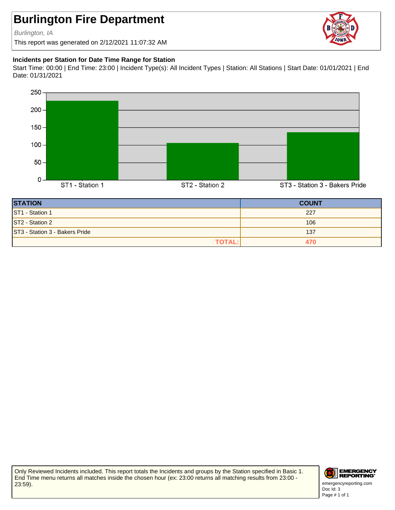Burlington, IA

This report was generated on 2/12/2021 11:07:32 AM

#### **Incidents per Station for Date Time Range for Station**

Start Time: 00:00 | End Time: 23:00 | Incident Type(s): All Incident Types | Station: All Stations | Start Date: 01/01/2021 | End Date: 01/31/2021



| <b>STATION</b>                 | <b>COUNT</b> |
|--------------------------------|--------------|
| ST1 - Station 1                | 227          |
| ST2 - Station 2                | 106          |
| ST3 - Station 3 - Bakers Pride | 137          |
| <b>TOTAL:</b>                  |              |

Only Reviewed Incidents included. This report totals the Incidents and groups by the Station specified in Basic 1. End Time menu returns all matches inside the chosen hour (ex: 23:00 returns all matching results from 23:00 - 23:59).



Doc Id: 3 emergencyreporting.com Page # 1 of 1